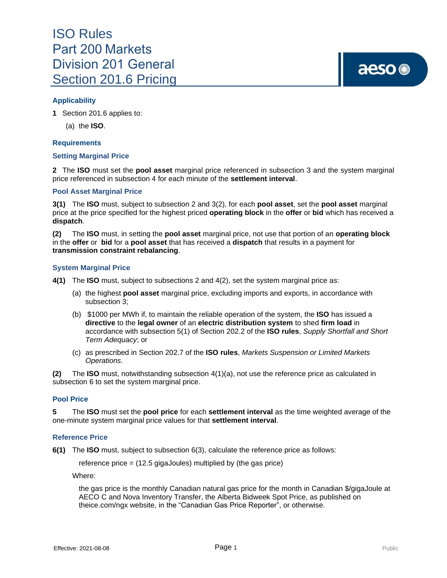## **Applicability**

**1** Section 201.6 applies to:

(a) the **ISO**.

## **Requirements**

## **Setting Marginal Price**

**2** The **ISO** must set the **pool asset** marginal price referenced in subsection 3 and the system marginal price referenced in subsection 4 for each minute of the **settlement interval**.

## **Pool Asset Marginal Price**

**3(1)** The **ISO** must, subject to subsection 2 and 3(2), for each **pool asset**, set the **pool asset** marginal price at the price specified for the highest priced **operating block** in the **offer** or **bid** which has received a **dispatch**.

**(2)** The **ISO** must, in setting the **pool asset** marginal price, not use that portion of an **operating block** in the **offer** or **bid** for a **pool asset** that has received a **dispatch** that results in a payment for **transmission constraint rebalancing**.

## **System Marginal Price**

- **4(1)** The **ISO** must, subject to subsections 2 and 4(2), set the system marginal price as:
	- (a) the highest **pool asset** marginal price, excluding imports and exports, in accordance with subsection 3;
	- (b) \$1000 per MWh if, to maintain the reliable operation of the system, the **ISO** has issued a **directive** to the **legal owner** of an **electric distribution system** to shed **firm load** in accordance with subsection 5(1) of Section 202.2 of the **ISO rules**, *Supply Shortfall and Short Term Adequacy*; or
	- (c) as prescribed in Section 202.7 of the **ISO rules**, *Markets Suspension or Limited Markets Operations*.

**(2)** The **ISO** must, notwithstanding subsection 4(1)(a), not use the reference price as calculated in subsection 6 to set the system marginal price.

## **Pool Price**

**5** The **ISO** must set the **pool price** for each **settlement interval** as the time weighted average of the one-minute system marginal price values for that **settlement interval**.

#### **Reference Price**

**6(1)** The **ISO** must, subject to subsection 6(3), calculate the reference price as follows:

reference price = (12.5 gigaJoules) multiplied by (the gas price)

Where:

the gas price is the monthly Canadian natural gas price for the month in Canadian \$/gigaJoule at AECO C and Nova Inventory Transfer, the Alberta Bidweek Spot Price, as published on theice.com/ngx website, in the "Canadian Gas Price Reporter", or otherwise.